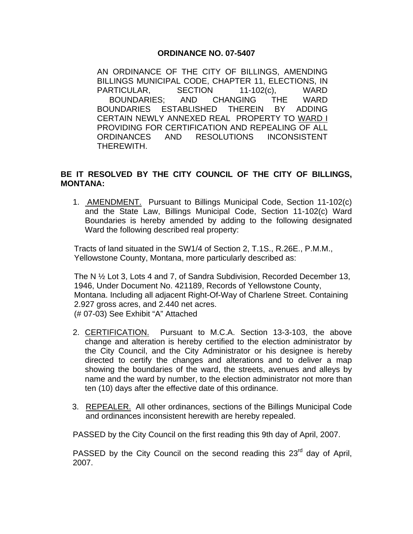## **ORDINANCE NO. 07-5407**

AN ORDINANCE OF THE CITY OF BILLINGS, AMENDING BILLINGS MUNICIPAL CODE, CHAPTER 11, ELECTIONS, IN PARTICULAR, SECTION 11-102(c), WARD BOUNDARIES; AND CHANGING THE WARD BOUNDARIES ESTABLISHED THEREIN BY ADDING CERTAIN NEWLY ANNEXED REAL PROPERTY TO WARD I PROVIDING FOR CERTIFICATION AND REPEALING OF ALL ORDINANCES AND RESOLUTIONS INCONSISTENT THEREWITH.

## **BE IT RESOLVED BY THE CITY COUNCIL OF THE CITY OF BILLINGS, MONTANA:**

1. AMENDMENT. Pursuant to Billings Municipal Code, Section 11-102(c) and the State Law, Billings Municipal Code, Section 11-102(c) Ward Boundaries is hereby amended by adding to the following designated Ward the following described real property:

Tracts of land situated in the SW1/4 of Section 2, T.1S., R.26E., P.M.M., Yellowstone County, Montana, more particularly described as:

The N ½ Lot 3, Lots 4 and 7, of Sandra Subdivision, Recorded December 13, 1946, Under Document No. 421189, Records of Yellowstone County, Montana. Including all adjacent Right-Of-Way of Charlene Street. Containing 2.927 gross acres, and 2.440 net acres. (# 07-03) See Exhibit "A" Attached

- 2. CERTIFICATION. Pursuant to M.C.A. Section 13-3-103, the above change and alteration is hereby certified to the election administrator by the City Council, and the City Administrator or his designee is hereby directed to certify the changes and alterations and to deliver a map showing the boundaries of the ward, the streets, avenues and alleys by name and the ward by number, to the election administrator not more than ten (10) days after the effective date of this ordinance.
- 3. REPEALER. All other ordinances, sections of the Billings Municipal Code and ordinances inconsistent herewith are hereby repealed.

PASSED by the City Council on the first reading this 9th day of April, 2007.

PASSED by the City Council on the second reading this  $23<sup>rd</sup>$  day of April, 2007.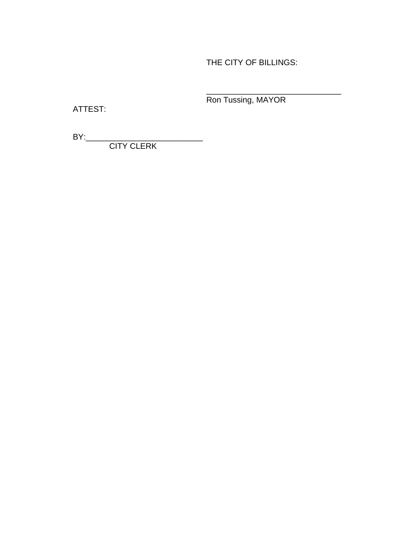THE CITY OF BILLINGS:

Ron Tussing, MAYOR

 $\frac{1}{2}$  ,  $\frac{1}{2}$  ,  $\frac{1}{2}$  ,  $\frac{1}{2}$  ,  $\frac{1}{2}$  ,  $\frac{1}{2}$  ,  $\frac{1}{2}$  ,  $\frac{1}{2}$  ,  $\frac{1}{2}$  ,  $\frac{1}{2}$  ,  $\frac{1}{2}$  ,  $\frac{1}{2}$  ,  $\frac{1}{2}$  ,  $\frac{1}{2}$  ,  $\frac{1}{2}$  ,  $\frac{1}{2}$  ,  $\frac{1}{2}$  ,  $\frac{1}{2}$  ,  $\frac{1$ 

ATTEST:

BY:\_\_\_\_\_\_\_\_\_\_\_\_\_\_\_\_\_\_\_\_\_\_\_\_\_\_ CITY CLERK